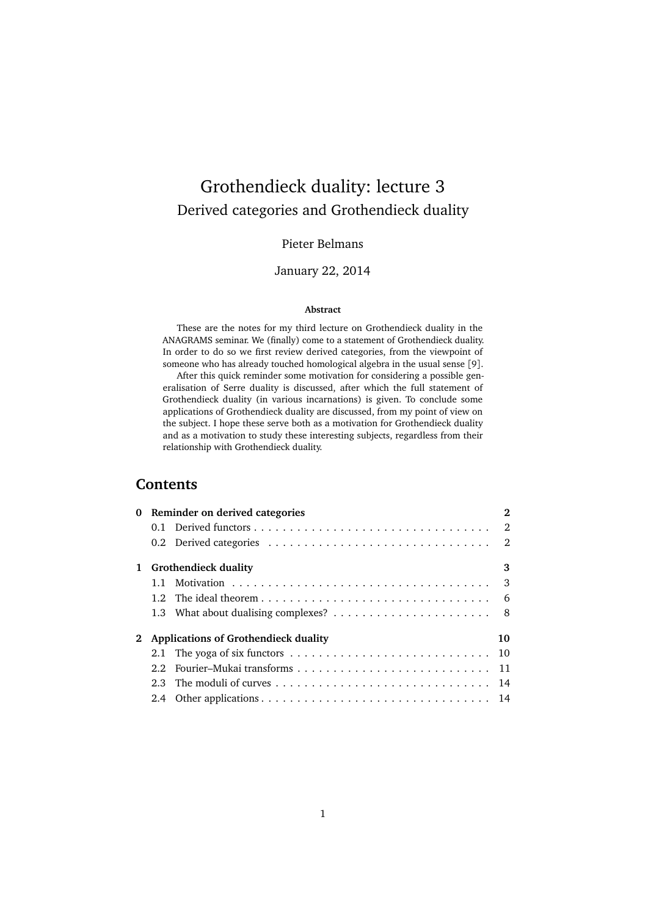# Grothendieck duality: lecture 3 Derived categories and Grothendieck duality

# Pieter Belmans

# January 22, 2014

#### **Abstract**

These are the notes for my third lecture on Grothendieck duality in the ANAGRAMS seminar. We (finally) come to a statement of Grothendieck duality. In order to do so we first review derived categories, from the viewpoint of someone who has already touched homological algebra in the usual sense [[9](#page-15-0)].

After this quick reminder some motivation for considering a possible generalisation of Serre duality is discussed, after which the full statement of Grothendieck duality (in various incarnations) is given. To conclude some applications of Grothendieck duality are discussed, from my point of view on the subject. I hope these serve both as a motivation for Grothendieck duality and as a motivation to study these interesting subjects, regardless from their relationship with Grothendieck duality.

# **Contents**

|  | 0 Reminder on derived categories |                                        |    |  |
|--|----------------------------------|----------------------------------------|----|--|
|  |                                  |                                        |    |  |
|  |                                  |                                        |    |  |
|  | 1 Grothendieck duality           |                                        |    |  |
|  |                                  |                                        |    |  |
|  |                                  |                                        |    |  |
|  |                                  |                                        |    |  |
|  |                                  | 2 Applications of Grothendieck duality | 10 |  |
|  |                                  |                                        |    |  |
|  |                                  |                                        |    |  |
|  |                                  |                                        |    |  |
|  |                                  |                                        |    |  |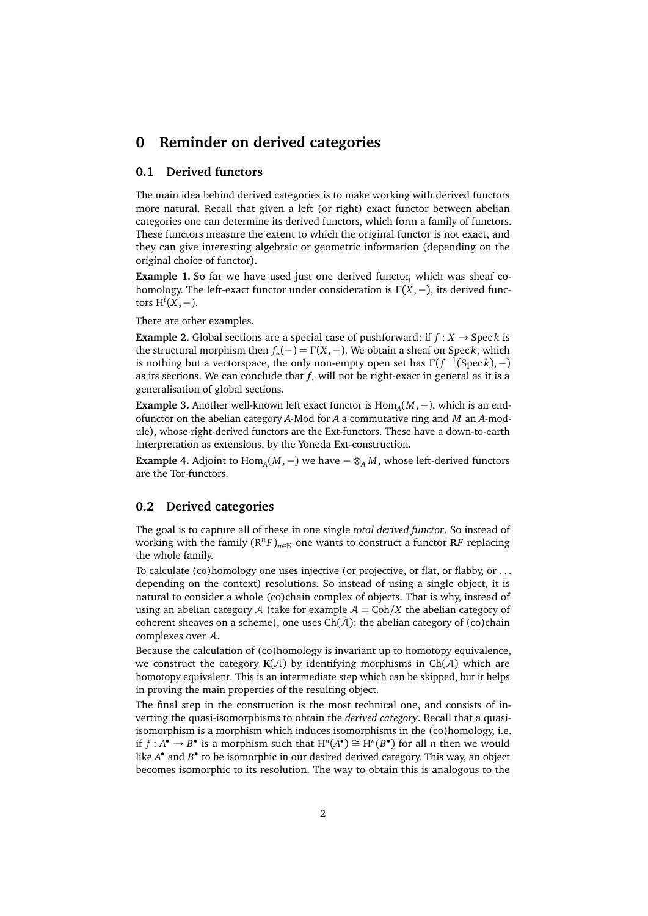# <span id="page-1-0"></span>**0 Reminder on derived categories**

### <span id="page-1-1"></span>**0.1 Derived functors**

The main idea behind derived categories is to make working with derived functors more natural. Recall that given a left (or right) exact functor between abelian categories one can determine its derived functors, which form a family of functors. These functors measure the extent to which the original functor is not exact, and they can give interesting algebraic or geometric information (depending on the original choice of functor).

**Example 1.** So far we have used just one derived functor, which was sheaf cohomology. The left-exact functor under consideration is Γ(*X*,−), its derived functors  $H<sup>i</sup>(X, −)$ .

There are other examples.

<span id="page-1-3"></span>**Example 2.** Global sections are a special case of pushforward: if  $f : X \rightarrow \text{Spec } k$  is the structural morphism then  $f_*(-) = \Gamma(X, -)$ . We obtain a sheaf on Speck, which is nothing but a vector space, the only non-empty open set has  $\Gamma(f^{-1}(\operatorname{Spec} k),-)$ as its sections. We can conclude that *f*<sup>∗</sup> will not be right-exact in general as it is a generalisation of global sections.

**Example 3.** Another well-known left exact functor is  $Hom_A(M, -)$ , which is an endofunctor on the abelian category *A*-Mod for *A* a commutative ring and *M* an *A*-module), whose right-derived functors are the Ext-functors. These have a down-to-earth interpretation as extensions, by the Yoneda Ext-construction.

**Example 4.** Adjoint to Hom*<sup>A</sup>* (*M*,−) we have − ⊗*<sup>A</sup> M*, whose left-derived functors are the Tor-functors.

#### <span id="page-1-2"></span>**0.2 Derived categories**

The goal is to capture all of these in one single *total derived functor*. So instead of working with the family  $(R^nF)_{n\in\mathbb{N}}$  one wants to construct a functor  $RF$  replacing the whole family.

To calculate (co)homology one uses injective (or projective, or flat, or flabby, or . . . depending on the context) resolutions. So instead of using a single object, it is natural to consider a whole (co)chain complex of objects. That is why, instead of using an abelian category A (take for example  $A = \text{Coh}/X$  the abelian category of coherent sheaves on a scheme), one uses  $Ch(A)$ : the abelian category of (co)chain complexes over A.

Because the calculation of (co)homology is invariant up to homotopy equivalence, we construct the category  $K(A)$  by identifying morphisms in  $Ch(A)$  which are homotopy equivalent. This is an intermediate step which can be skipped, but it helps in proving the main properties of the resulting object.

The final step in the construction is the most technical one, and consists of inverting the quasi-isomorphisms to obtain the *derived category*. Recall that a quasiisomorphism is a morphism which induces isomorphisms in the (co)homology, i.e. if  $f: A^{\bullet} \to B^{\bullet}$  is a morphism such that  $H^n(A^{\bullet}) \cong H^n(B^{\bullet})$  for all *n* then we would like *A*<sup>•</sup> and *B*<sup>•</sup> to be isomorphic in our desired derived category. This way, an object becomes isomorphic to its resolution. The way to obtain this is analogous to the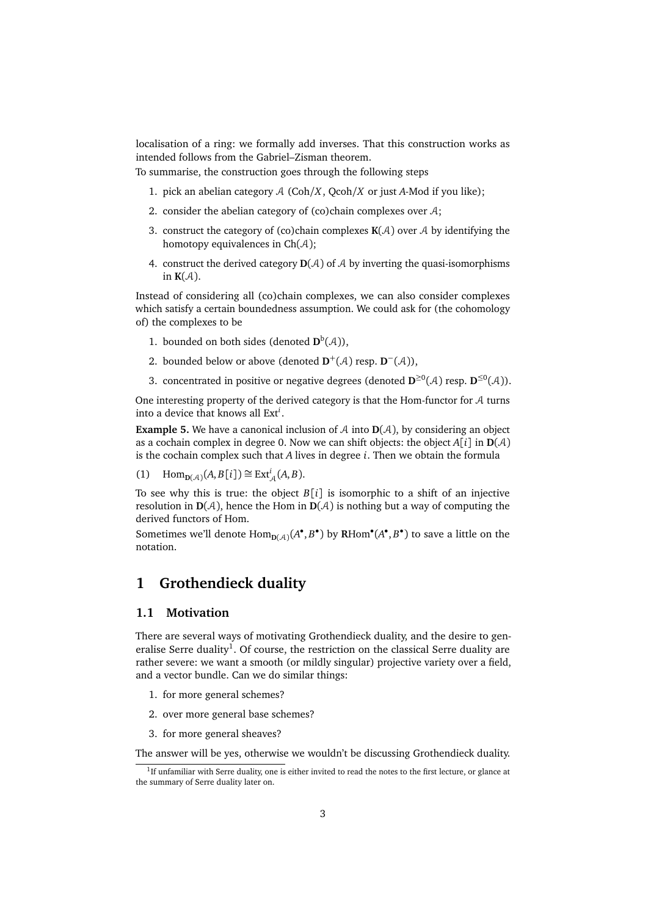localisation of a ring: we formally add inverses. That this construction works as intended follows from the Gabriel–Zisman theorem.

To summarise, the construction goes through the following steps

- 1. pick an abelian category  $A$  (Coh/ $X$ , Qcoh/ $X$  or just  $A$ -Mod if you like);
- 2. consider the abelian category of (co)chain complexes over  $A$ ;
- 3. construct the category of (co)chain complexes  $K(A)$  over A by identifying the homotopy equivalences in  $Ch(A)$ ;
- 4. construct the derived category  $D(A)$  of  $A$  by inverting the quasi-isomorphisms in  $K(A)$ .

Instead of considering all (co)chain complexes, we can also consider complexes which satisfy a certain boundedness assumption. We could ask for (the cohomology of) the complexes to be

- 1. bounded on both sides (denoted  $\mathbf{D}^b(\mathcal{A})$ ),
- 2. bounded below or above (denoted  $D^+(\mathcal{A})$  resp.  $D^-(\mathcal{A})$ ),
- <span id="page-2-3"></span>3. concentrated in positive or negative degrees (denoted  $\mathbf{D}^{\geq 0}(\mathcal{A})$  resp.  $\mathbf{D}^{\leq 0}(\mathcal{A})$ ).

One interesting property of the derived category is that the Hom-functor for  $A$  turns into a device that knows all Ext*<sup>i</sup>* .

**Example 5.** We have a canonical inclusion of A into  $D(A)$ , by considering an object as a cochain complex in degree 0. Now we can shift objects: the object  $A[i]$  in  $D(A)$ is the cochain complex such that *A* lives in degree *i*. Then we obtain the formula

(1)  $\text{Hom}_{D(\mathcal{A})}(A, B[i]) \cong \text{Ext}^{i}_{\mathcal{A}}(A, B).$ 

To see why this is true: the object *B*[*i*] is isomorphic to a shift of an injective resolution in  $D(A)$ , hence the Hom in  $D(A)$  is nothing but a way of computing the derived functors of Hom.

Sometimes we'll denote  $Hom_{D(\mathcal{A})}(A^{\bullet}, B^{\bullet})$  by  $RHom^{\bullet}(A^{\bullet}, B^{\bullet})$  to save a little on the notation.

# <span id="page-2-0"></span>**1 Grothendieck duality**

#### <span id="page-2-1"></span>**1.1 Motivation**

There are several ways of motivating Grothendieck duality, and the desire to gen-eralise Serre duality<sup>[1](#page-2-2)</sup>. Of course, the restriction on the classical Serre duality are rather severe: we want a smooth (or mildly singular) projective variety over a field, and a vector bundle. Can we do similar things:

- 1. for more general schemes?
- 2. over more general base schemes?
- 3. for more general sheaves?

The answer will be yes, otherwise we wouldn't be discussing Grothendieck duality.

<span id="page-2-2"></span><sup>&</sup>lt;sup>1</sup>If unfamiliar with Serre duality, one is either invited to read the notes to the first lecture, or glance at the summary of Serre duality later on.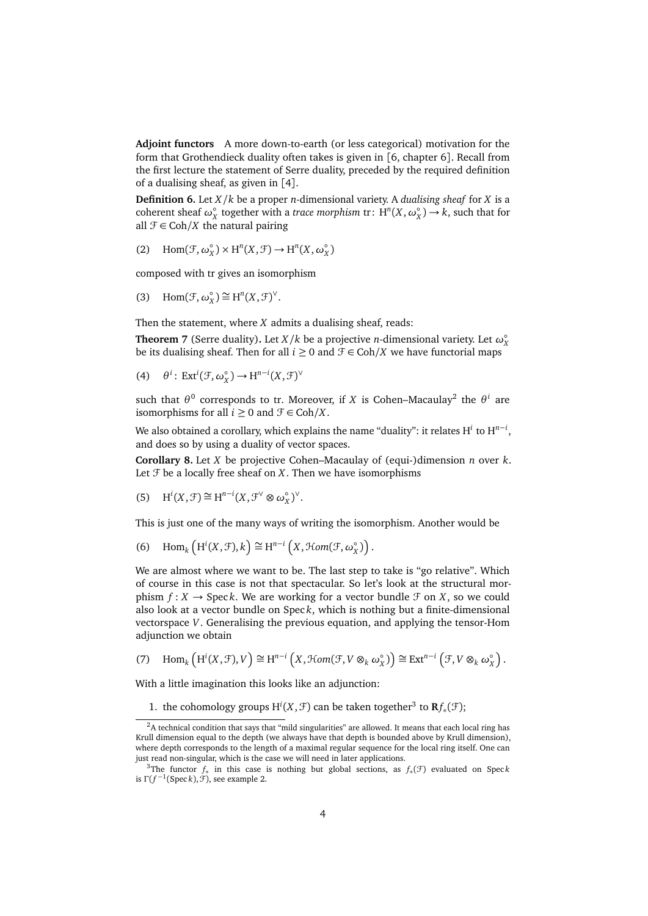**Adjoint functors** A more down-to-earth (or less categorical) motivation for the form that Grothendieck duality often takes is given in [[6,](#page-14-0) chapter 6]. Recall from the first lecture the statement of Serre duality, preceded by the required definition of a dualising sheaf, as given in [[4](#page-14-1)].

**Definition 6.** Let *X/k* be a proper *n*-dimensional variety. A *dualising sheaf* for *X* is a coherent sheaf  $\omega_X^{\circ}$  together with a *trace morphism* tr:  $H^n(X, \omega_X^{\circ}) \to k$ , such that for all  $\mathcal{F} \in \text{Coh}/X$  the natural pairing

(2) Hom $(\mathcal{F}, \omega_X^{\circ})$  $(X, \mathcal{F}) \to H^n(X, \omega_X^{\circ})$ *X* )

composed with tr gives an isomorphism

(3) Hom $(\mathcal{F}, \omega_X^{\circ})$  $Y_X^{\circ}$ ) ≅ H<sup>n</sup>(*X*, *F*)<sup>∨</sup>.

Then the statement, where *X* admits a dualising sheaf, reads:

**Theorem 7** (Serre duality). Let *X*/*k* be a projective *n*-dimensional variety. Let  $\omega_{\text{X}}^{\circ}$ be its dualising sheaf. Then for all  $i ≥ 0$  and  $\mathcal{F} ∈ \text{Coh}/X$  we have functorial maps

(4) 
$$
\theta^i
$$
: Ext<sup>i</sup>( $\mathcal{F}, \omega_X^{\circ}$ )  $\rightarrow$  H<sup>n-i</sup>( $X, \mathcal{F}$ ) <sup>$\vee$</sup> 

such that  $\theta^0$  corresponds to tr. Moreover, if *X* is Cohen–Macaulay<sup>[2](#page-3-0)</sup> the  $\theta^i$  are isomorphisms for all  $i \geq 0$  and  $\mathcal{F} \in \text{Coh}/X$ .

We also obtained a corollary, which explains the name "duality": it relates H *i* to H *n*−*i* , and does so by using a duality of vector spaces.

**Corollary 8.** Let *X* be projective Cohen–Macaulay of (equi-)dimension *n* over *k*. Let  $\mathcal F$  be a locally free sheaf on  $X$ . Then we have isomorphisms

(5) 
$$
H^{i}(X, \mathcal{F}) \cong H^{n-i}(X, \mathcal{F}^{\vee} \otimes \omega_X^{\circ})^{\vee}
$$
.

This is just one of the many ways of writing the isomorphism. Another would be

(6) Hom<sub>k</sub>  $\left(H^{i}(X, \mathcal{F}), k\right) \cong H^{n-i}\left(X, \mathcal{H}om(\mathcal{F}, \omega)X\right)$  $_{X}^{\circ})\big).$ 

We are almost where we want to be. The last step to take is "go relative". Which of course in this case is not that spectacular. So let's look at the structural morphism  $f: X \to \text{Spec } k$ . We are working for a vector bundle  $\mathcal F$  on  $X$ , so we could also look at a vector bundle on Spec *k*, which is nothing but a finite-dimensional vectorspace *V*. Generalising the previous equation, and applying the tensor-Hom adjunction we obtain

(7)  $\text{Hom}_k\left(\text{H}^i(X,\mathcal{F}),V\right) \cong \text{H}^{n-i}\left(X,\mathcal{H}om(\mathcal{F},V\otimes_k\omega)X\right)$  $\left(\begin{matrix} \circ \\ X \end{matrix}\right) \cong \text{Ext}^{n-i} \left(\mathcal{F}, V \otimes_k \omega_k^c\right)$  $_{X}^{\circ}$ .

With a little imagination this looks like an adjunction:

1. the cohomology groups  $H^i(X, \mathcal{F})$  can be taken together<sup>[3](#page-3-1)</sup> to  $\mathbf{R} f_*(\mathcal{F})$ ;

<span id="page-3-0"></span> $2A$  technical condition that says that "mild singularities" are allowed. It means that each local ring has Krull dimension equal to the depth (we always have that depth is bounded above by Krull dimension), where depth corresponds to the length of a maximal regular sequence for the local ring itself. One can just read non-singular, which is the case we will need in later applications.

<span id="page-3-1"></span><sup>&</sup>lt;sup>3</sup>The functor  $f_*$  in this case is nothing but global sections, as  $f_*(\mathcal{F})$  evaluated on Speck is  $\Gamma(f^{-1}(\text{Spec } k), \mathcal{F})$ , see example [2.](#page-1-3)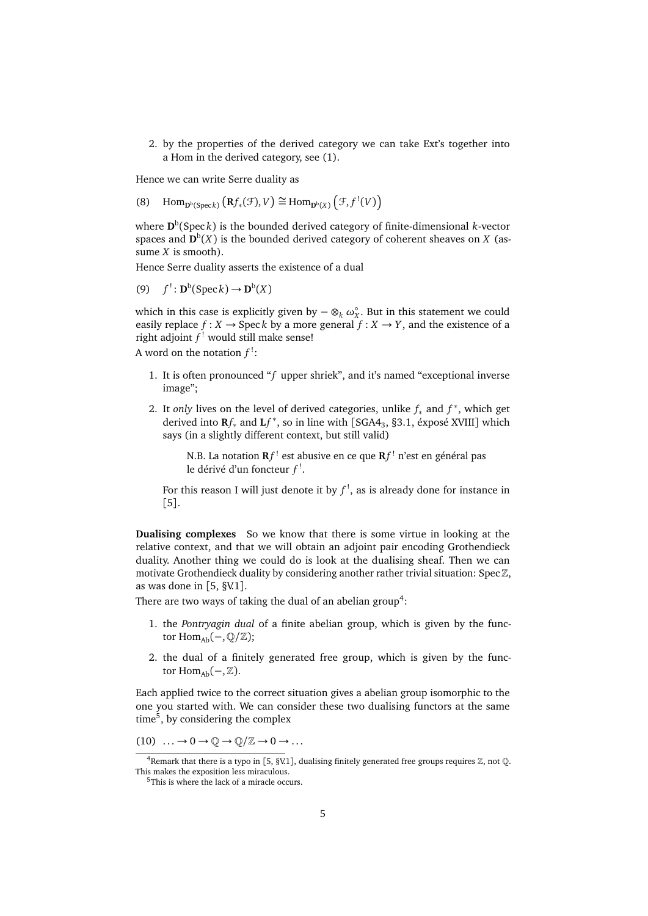2. by the properties of the derived category we can take Ext's together into a Hom in the derived category, see [\(1\)](#page-2-3).

Hence we can write Serre duality as

(8) Hom<sub>p<sup>b</sup>(Speck</sub>)  $(Rf_*(\mathcal{F}), V) \cong \text{Hom}_{D^b(X)}(F, f^!(V))$ 

where **D** b (Spec *k*) is the bounded derived category of finite-dimensional *k*-vector spaces and  $\mathbf{D}^{\mathrm{b}}(X)$  is the bounded derived category of coherent sheaves on *X* (assume *X* is smooth).

Hence Serre duality asserts the existence of a dual

(9) *f*  $B^{\text{b}}(\text{Spec } k) \to \mathbf{D}^{\text{b}}(X)$ 

which in this case is explicitly given by  $-\otimes_k \omega_X^{\circ}$ . But in this statement we could easily replace  $f : X \to \text{Spec } k$  by a more general  $f : X \to Y$ , and the existence of a right adjoint *f* ! would still make sense!

A word on the notation  $f^!$ :

- 1. It is often pronounced "*f* upper shriek", and it's named "exceptional inverse image";
- 2. It *only* lives on the level of derived categories, unlike  $f_*$  and  $f^*$ , which get derived into **R***f*<sup>∗</sup> and **L***f* ∗ , so in line with [[SGA4](#page-14-2)<sup>3</sup> , §3.1, éxposé XVIII] which says (in a slightly different context, but still valid)

N.B. La notation **R***f* ! est abusive en ce que **R***f* ! n'est en général pas le dérivé d'un foncteur *f* ! .

For this reason I will just denote it by  $f^!$ , as is already done for instance in [[5](#page-14-3)].

**Dualising complexes** So we know that there is some virtue in looking at the relative context, and that we will obtain an adjoint pair encoding Grothendieck duality. Another thing we could do is look at the dualising sheaf. Then we can motivate Grothendieck duality by considering another rather trivial situation: Spec  $\mathbb{Z}$ , as was done in [[5,](#page-14-3) §V.1].

There are two ways of taking the dual of an abelian group<sup>[4](#page-4-0)</sup>:

- 1. the *Pontryagin dual* of a finite abelian group, which is given by the functor Hom<sub>Ab</sub>(−,  $\mathbb{Q}/\mathbb{Z}$ );
- 2. the dual of a finitely generated free group, which is given by the functor Hom<sub>Ab</sub> $(-, \mathbb{Z})$ .

Each applied twice to the correct situation gives a abelian group isomorphic to the one you started with. We can consider these two dualising functors at the same time<sup>[5](#page-4-1)</sup>, by considering the complex

 $(10) \dots \rightarrow 0 \rightarrow \mathbb{Q} \rightarrow \mathbb{Q}/\mathbb{Z} \rightarrow 0 \rightarrow \dots$ 

<span id="page-4-0"></span><sup>&</sup>lt;sup>4</sup> Remark that there is a typo in [[5,](#page-14-3) §V.1], dualising finitely generated free groups requires  $\mathbb{Z}$ , not  $\mathbb{Q}$ . This makes the exposition less miraculous.

<span id="page-4-1"></span> $5$ This is where the lack of a miracle occurs.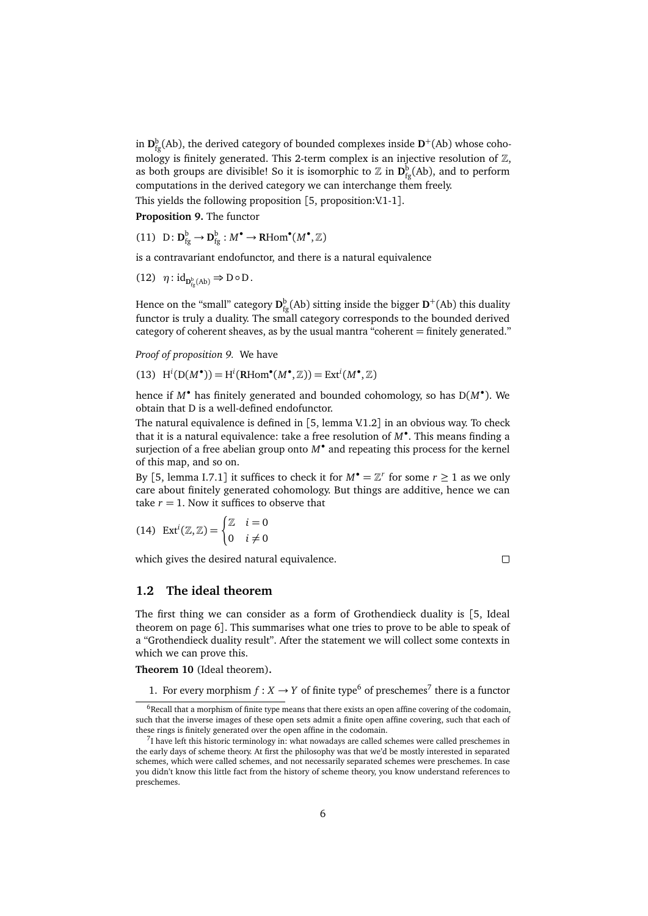in  $D_{fg}^b(Ab)$ , the derived category of bounded complexes inside  $D^+(Ab)$  whose cohomology is finitely generated. This 2-term complex is an injective resolution of  $\mathbb{Z}$ , as both groups are divisible! So it is isomorphic to  $\mathbb Z$  in  $\mathbf D^{\mathrm{b}}_{\mathrm{fg}}(\mathrm{Ab}),$  and to perform computations in the derived category we can interchange them freely. This yields the following proposition  $[5,$  $[5,$  proposition: V.1-1].

<span id="page-5-1"></span>**Proposition 9.** The functor

(11)  $D: D_{fg}^b \to D_{fg}^b : M^{\bullet} \to \text{RHom}^{\bullet}(M^{\bullet}, \mathbb{Z})$ 

is a contravariant endofunctor, and there is a natural equivalence

(12)  $\eta: \mathrm{id}_{\mathbf{D}^{\mathrm{b}}_{\mathrm{fg}}(Ab)} \Rightarrow \mathrm{D} \circ \mathrm{D}$ .

Hence on the "small" category  $\mathbf{D}^{\mathrm{b}}_{\mathrm{fg}}(\rm{Ab})$  sitting inside the bigger  $\mathbf{D}^+(\rm{Ab})$  this duality functor is truly a duality. The small category corresponds to the bounded derived category of coherent sheaves, as by the usual mantra "coherent = finitely generated."

*Proof of proposition [9.](#page-5-1)* We have

(13)  $H^{i}(D(M^{\bullet})) = H^{i}(RHom^{\bullet}(M^{\bullet}, \mathbb{Z})) = Ext^{i}(M^{\bullet}, \mathbb{Z})$ 

hence if *<sup>M</sup>*• has finitely generated and bounded cohomology, so has <sup>D</sup>(*M*• ). We obtain that D is a well-defined endofunctor.

The natural equivalence is defined in [[5,](#page-14-3) lemma V.1.2] in an obvious way. To check that it is a natural equivalence: take a free resolution of *M*• . This means finding a surjection of a free abelian group onto *M*• and repeating this process for the kernel of this map, and so on.

By [[5,](#page-14-3) lemma I.7.1] it suffices to check it for  $M^{\bullet} = \mathbb{Z}^r$  for some  $r \ge 1$  as we only care about finitely generated cohomology. But things are additive, hence we can take  $r = 1$ . Now it suffices to observe that

(14) 
$$
Ext^{i}(\mathbb{Z}, \mathbb{Z}) = \begin{cases} \mathbb{Z} & i = 0 \\ 0 & i \neq 0 \end{cases}
$$

which gives the desired natural equivalence.

 $\Box$ 

# <span id="page-5-0"></span>**1.2 The ideal theorem**

The first thing we can consider as a form of Grothendieck duality is [[5,](#page-14-3) Ideal theorem on page 6]. This summarises what one tries to prove to be able to speak of a "Grothendieck duality result". After the statement we will collect some contexts in which we can prove this.

**Theorem 10** (Ideal theorem)**.**

<span id="page-5-4"></span>1. For every morphism  $f : X \to Y$  of finite type<sup>[6](#page-5-2)</sup> of preschemes<sup>[7](#page-5-3)</sup> there is a functor

<span id="page-5-2"></span> $6$ Recall that a morphism of finite type means that there exists an open affine covering of the codomain, such that the inverse images of these open sets admit a finite open affine covering, such that each of these rings is finitely generated over the open affine in the codomain.

<span id="page-5-3"></span><sup>&</sup>lt;sup>7</sup>I have left this historic terminology in: what nowadays are called schemes were called preschemes in the early days of scheme theory. At first the philosophy was that we'd be mostly interested in separated schemes, which were called schemes, and not necessarily separated schemes were preschemes. In case you didn't know this little fact from the history of scheme theory, you know understand references to preschemes.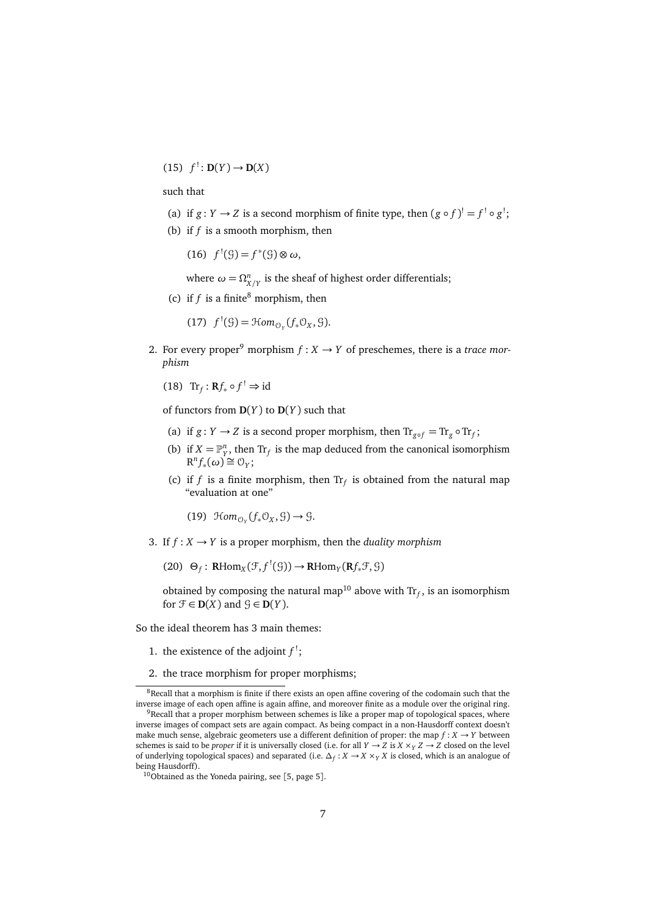$(15)$   $f' : D(Y) \to D(X)$ 

<span id="page-6-5"></span>such that

- (a) if  $g: Y \to Z$  is a second morphism of finite type, then  $(g \circ f)^! = f^! \circ g^!$ ;
- (b) if  $f$  is a smooth morphism, then

(16)  $f'(θ) = f*(θ) ⊗ ω,$ 

where  $\omega = \Omega^n_{X/Y}$  is the sheaf of highest order differentials;

(c) if  $f$  is a finite<sup>[8](#page-6-0)</sup> morphism, then

$$
(17) f1(\mathcal{G}) = \mathcal{H}om_{\mathcal{O}_Y}(f_*\mathcal{O}_X, \mathcal{G}).
$$

- <span id="page-6-3"></span>2. For every proper<sup>[9](#page-6-1)</sup> morphism  $f: X \rightarrow Y$  of preschemes, there is a *trace morphism*
	- (18)  $\text{Tr}_f: \mathbf{R}f_* \circ f^! \Rightarrow \text{id}$

<span id="page-6-6"></span>of functors from **D**(*Y* ) to **D**(*Y* ) such that

- (a) if *g* : *Y*  $\rightarrow$  *Z* is a second proper morphism, then  $\text{Tr}_{g \circ f} = \text{Tr}_g \circ \text{Tr}_f$ ;
- (b) if  $X = \mathbb{P}^n_Y$ , then  $\text{Tr}_f$  is the map deduced from the canonical isomorphism  $R^n f_*(\omega) \cong 0_Y;$
- (c) if *f* is a finite morphism, then  $Tr_f$  is obtained from the natural map "evaluation at one"

<span id="page-6-7"></span>(19)  $\mathfrak{Hom}_{\mathcal{O}_Y}(f_*\mathcal{O}_X,\mathcal{G})\to \mathcal{G}.$ 

<span id="page-6-4"></span>3. If  $f: X \to Y$  is a proper morphism, then the *duality morphism* 

 $(20)$   $\Theta_f$ : **RHom**<sub>*X*</sub> $(\mathcal{F}, f^!(\mathcal{G})) \to \textbf{R}$ Hom<sub>*Y*</sub> $(\textbf{R}f_*\mathcal{F}, \mathcal{G})$ 

obtained by composing the natural map<sup>[10](#page-6-2)</sup> above with  $\text{Tr}_f$ , is an isomorphism for  $\mathcal{F} \in \mathbf{D}(X)$  and  $\mathcal{G} \in \mathbf{D}(Y)$ .

So the ideal theorem has 3 main themes:

- 1. the existence of the adjoint  $f^!$ ;
- 2. the trace morphism for proper morphisms;

<span id="page-6-0"></span> $8$ Recall that a morphism is finite if there exists an open affine covering of the codomain such that the inverse image of each open affine is again affine, and moreover finite as a module over the original ring.

<span id="page-6-1"></span><sup>&</sup>lt;sup>9</sup>Recall that a proper morphism between schemes is like a proper map of topological spaces, where inverse images of compact sets are again compact. As being compact in a non-Hausdorff context doesn't make much sense, algebraic geometers use a different definition of proper: the map  $f : X \rightarrow Y$  between schemes is said to be *proper* if it is universally closed (i.e. for all  $Y \rightarrow Z$  is  $X \times_Y Z \rightarrow Z$  closed on the level of underlying topological spaces) and separated (i.e.  $\Delta_f: X \to X \times_Y X$  is closed, which is an analogue of being Hausdorff).

<span id="page-6-2"></span> $10$ Obtained as the Yoneda pairing, see [[5,](#page-14-3) page 5].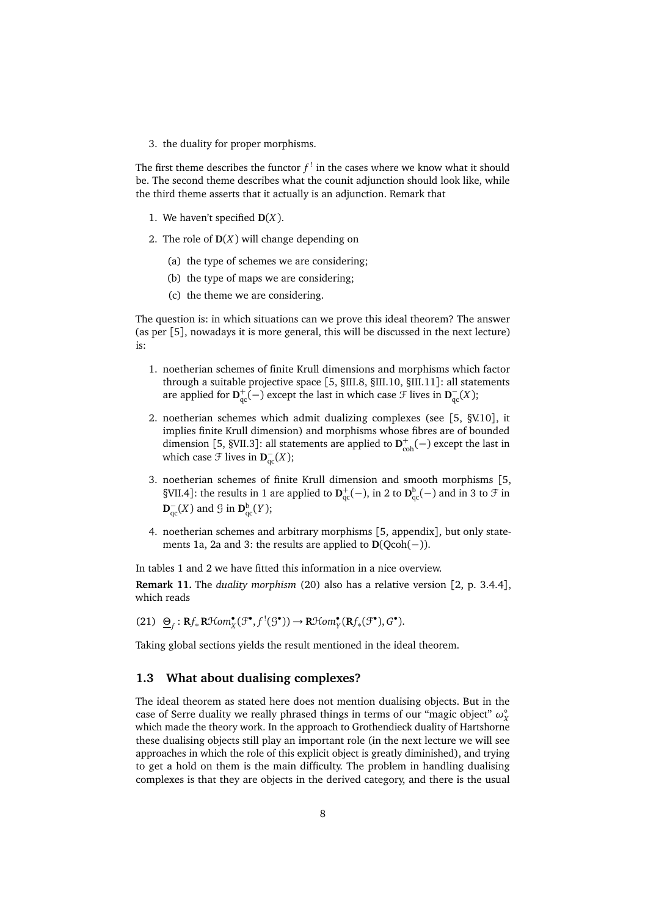3. the duality for proper morphisms.

The first theme describes the functor  $f^!$  in the cases where we know what it should be. The second theme describes what the counit adjunction should look like, while the third theme asserts that it actually is an adjunction. Remark that

- 1. We haven't specified **D**(*X*).
- 2. The role of **D**(*X*) will change depending on
	- (a) the type of schemes we are considering;
	- (b) the type of maps we are considering;
	- (c) the theme we are considering.

The question is: in which situations can we prove this ideal theorem? The answer (as per [[5](#page-14-3)], nowadays it is more general, this will be discussed in the next lecture) is:

- 1. noetherian schemes of finite Krull dimensions and morphisms which factor through a suitable projective space [[5,](#page-14-3) §III.8, §III.10, §III.11]: all statements are applied for  $D_{qc}^+(-)$  except the last in which case  $\mathcal F$  lives in  $D_{qc}^-(X)$ ;
- 2. noetherian schemes which admit dualizing complexes (see [[5,](#page-14-3) §V.10], it implies finite Krull dimension) and morphisms whose fibres are of bounded dimension [[5,](#page-14-3) §VII.3]: all statements are applied to  $\mathbf{D}_{\text{coh}}^+(-)$  except the last in which case  $\mathcal{F}$  lives in  $\mathbf{D}_{\text{qc}}^-(X)$ ;
- 3. noetherian schemes of finite Krull dimension and smooth morphisms [[5,](#page-14-3) §VII.4]: the results in [1](#page-5-4) are applied to  $D_{qc}^+(-)$ , in [2](#page-6-3) to  $D_{qc}^b(-)$  and in [3](#page-6-4) to  $\mathcal F$  in  $\mathbf{D}_{\text{qc}}^-(X)$  and  $\mathcal G$  in  $\mathbf{D}_{\text{qc}}^{\text{b}}(Y)$ ;
- 4. noetherian schemes and arbitrary morphisms [[5,](#page-14-3) appendix], but only state-ments [1a,](#page-6-5) [2a](#page-6-6) and [3:](#page-6-4) the results are applied to  $D(Qcoh(-))$ .

In tables [1](#page-8-0) and [2](#page-8-1) we have fitted this information in a nice overview.

**Remark 11.** The *duality morphism* [\(20\)](#page-6-7) also has a relative version [[2,](#page-14-4) p. 3.4.4], which reads

 $(21) \quad \underline{\Theta}_f : \mathbf{R}f_*\mathbf{R}\mathcal{H}om_{X}^{\bullet}(\mathcal{F}^{\bullet},f^!(\mathcal{G}^{\bullet})) \rightarrow \mathbf{R}\mathcal{H}om_{Y}^{\bullet}(\mathbf{R}f_*(\mathcal{F}^{\bullet}),G^{\bullet}).$ 

Taking global sections yields the result mentioned in the ideal theorem.

#### <span id="page-7-0"></span>**1.3 What about dualising complexes?**

The ideal theorem as stated here does not mention dualising objects. But in the case of Serre duality we really phrased things in terms of our "magic object"  $\omega_{X}^{\circ}$ which made the theory work. In the approach to Grothendieck duality of Hartshorne these dualising objects still play an important role (in the next lecture we will see approaches in which the role of this explicit object is greatly diminished), and trying to get a hold on them is the main difficulty. The problem in handling dualising complexes is that they are objects in the derived category, and there is the usual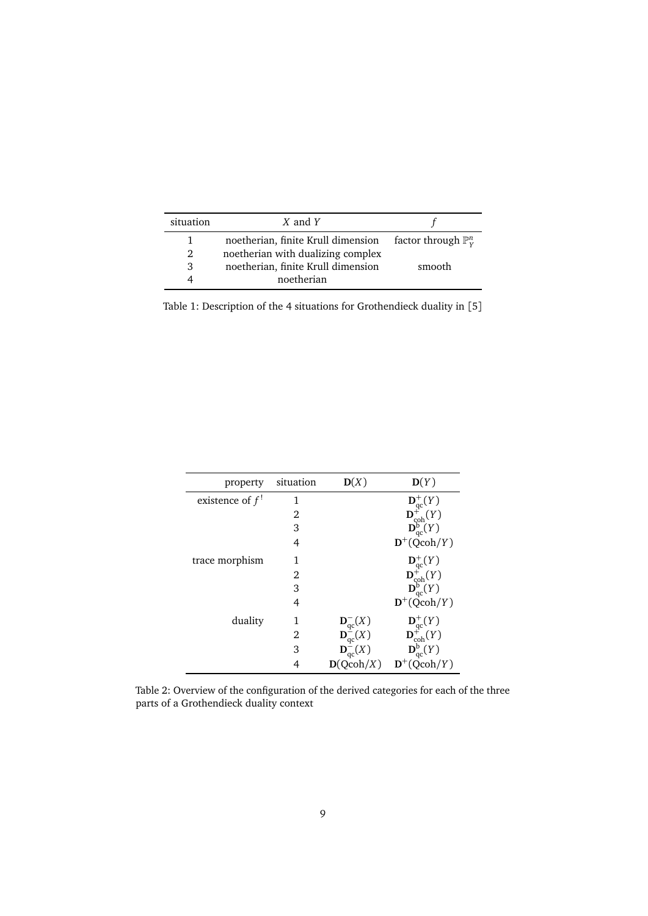| situation      | $X$ and $Y$                                                            |        |
|----------------|------------------------------------------------------------------------|--------|
|                | noetherian, finite Krull dimension factor through $\mathbb{P}_{V}^{n}$ |        |
| $\mathfrak{D}$ | noetherian with dualizing complex                                      |        |
| 3              | noetherian, finite Krull dimension                                     | smooth |
|                | noetherian                                                             |        |

<span id="page-8-0"></span>Table 1: Description of the 4 situations for Grothendieck duality in [[5](#page-14-3)]

| property          | situation | D(X)                                                      | D(Y)                                                                                                                                       |
|-------------------|-----------|-----------------------------------------------------------|--------------------------------------------------------------------------------------------------------------------------------------------|
| existence of $f!$ | 1         |                                                           | $\begin{array}{l} \mathbf{D}_{\mathrm{qc}}^+(Y) \\ \mathbf{D}_{\mathrm{coh}}^+(Y) \\ \mathbf{D}_{\mathrm{qc}}^{\mathrm{b}}(Y) \end{array}$ |
|                   | 2         |                                                           |                                                                                                                                            |
|                   | 3         |                                                           |                                                                                                                                            |
|                   | 4         |                                                           | $\mathbf{D}^+$ (Qcoh/Y)                                                                                                                    |
| trace morphism    | 1         |                                                           | $\begin{array}{l} \mathbf{D}_{\mathrm{qc}}^+(Y) \\ \mathbf{D}_{\mathrm{coh}}^+(Y) \\ \mathbf{D}_{\mathrm{qc}}^{\mathrm{b}}(Y) \end{array}$ |
|                   | 2         |                                                           |                                                                                                                                            |
|                   | 3         |                                                           |                                                                                                                                            |
|                   | 4         |                                                           | $\mathbf{D}^{+}(\text{Qcoh}/Y)$                                                                                                            |
| duality           | 1         | $\mathbf{D}_{\mathrm{qc}}^-(X)$                           | $\begin{array}{c} \mathbf{D}^+_{\mathrm{qc}}(Y) \\ \mathbf{D}^+_{\mathrm{coh}}(Y) \end{array}$                                             |
|                   | 2         | $\mathbf{D}_{\mathrm{qc}}^{\mathrm{\dot{\mathsf{=}}}}(X)$ |                                                                                                                                            |
|                   | 3         | $\mathbf{D}^-_{\mathrm{qc}}(X)$                           | $\overline{\mathbf{D}_{\text{qc}}^{\text{b}}}(Y)$                                                                                          |
|                   |           | D(Qcoh/X)                                                 | $\mathbf{D}^+$ (Qcoh/Y)                                                                                                                    |

<span id="page-8-1"></span>Table 2: Overview of the configuration of the derived categories for each of the three parts of a Grothendieck duality context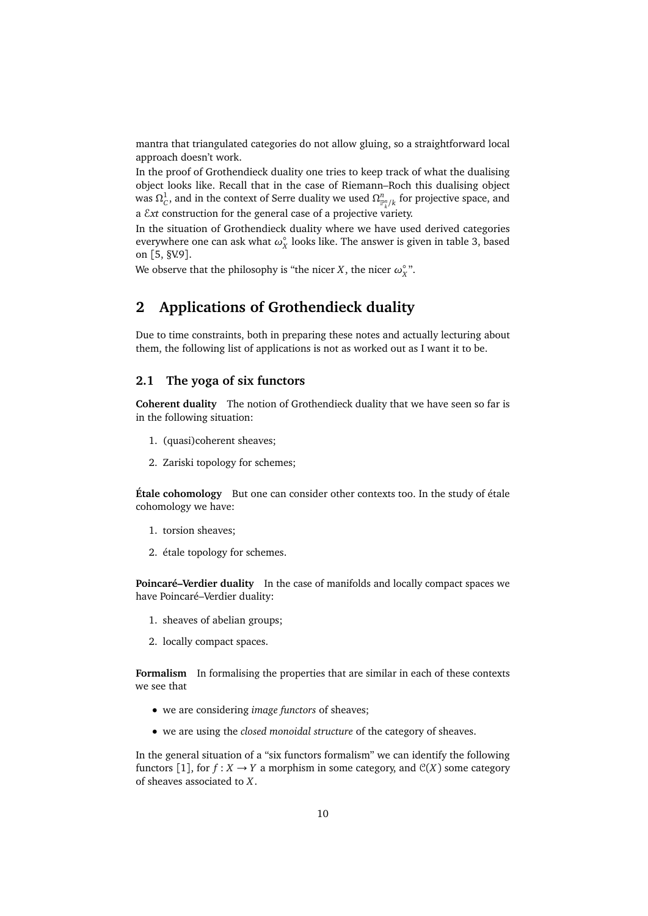mantra that triangulated categories do not allow gluing, so a straightforward local approach doesn't work.

In the proof of Grothendieck duality one tries to keep track of what the dualising object looks like. Recall that in the case of Riemann–Roch this dualising object was  $\Omega^1_C$ , and in the context of Serre duality we used  $\Omega^n_{\mathbb{P}^n_k/k}$  for projective space, and *k* a E*xt* construction for the general case of a projective variety.

In the situation of Grothendieck duality where we have used derived categories everywhere one can ask what  $\omega_X^{\circ}$  looks like. The answer is given in table [3,](#page-16-0) based on [[5,](#page-14-3) §V.9].

We observe that the philosophy is "the nicer *X*, the nicer  $\omega_X^{\circ}$ ".

# <span id="page-9-0"></span>**2 Applications of Grothendieck duality**

Due to time constraints, both in preparing these notes and actually lecturing about them, the following list of applications is not as worked out as I want it to be.

#### <span id="page-9-1"></span>**2.1 The yoga of six functors**

**Coherent duality** The notion of Grothendieck duality that we have seen so far is in the following situation:

- 1. (quasi)coherent sheaves;
- 2. Zariski topology for schemes;

**Étale cohomology** But one can consider other contexts too. In the study of étale cohomology we have:

- 1. torsion sheaves;
- 2. étale topology for schemes.

**Poincaré–Verdier duality** In the case of manifolds and locally compact spaces we have Poincaré–Verdier duality:

- 1. sheaves of abelian groups;
- 2. locally compact spaces.

**Formalism** In formalising the properties that are similar in each of these contexts we see that

- we are considering *image functors* of sheaves;
- we are using the *closed monoidal structure* of the category of sheaves.

In the general situation of a "six functors formalism" we can identify the following functors [[1](#page-14-5)], for  $f : X \to Y$  a morphism in some category, and  $\mathcal{C}(X)$  some category of sheaves associated to *X*.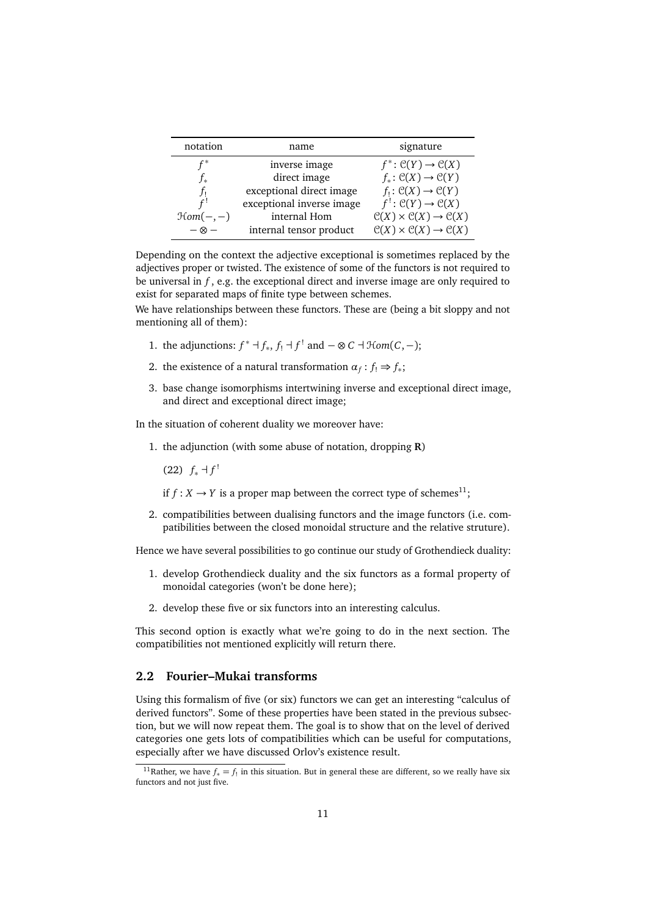| notation              | name                      | signature                                                         |  |
|-----------------------|---------------------------|-------------------------------------------------------------------|--|
| $\mathsf{f}^*$        | inverse image             | $f^* \colon \mathcal{C}(Y) \to \mathcal{C}(X)$                    |  |
| J*                    | direct image              | $f_*\colon \mathcal{C}(X)\to \mathcal{C}(Y)$                      |  |
| Ť١                    | exceptional direct image  | $f_! : \mathcal{C}(X) \to \mathcal{C}(Y)$                         |  |
| $f^!$                 | exceptional inverse image | $f: \mathcal{C}(Y) \rightarrow \mathcal{C}(X)$                    |  |
| $\mathfrak{Hom}(-,-)$ | internal Hom              | $\mathcal{C}(X) \times \mathcal{C}(X) \rightarrow \mathcal{C}(X)$ |  |
| $-\otimes$ $-$        | internal tensor product   | $\mathcal{C}(X) \times \mathcal{C}(X) \rightarrow \mathcal{C}(X)$ |  |

Depending on the context the adjective exceptional is sometimes replaced by the adjectives proper or twisted. The existence of some of the functors is not required to be universal in  $f$ , e.g. the exceptional direct and inverse image are only required to exist for separated maps of finite type between schemes.

We have relationships between these functors. These are (being a bit sloppy and not mentioning all of them):

- 1. the adjunctions:  $f^* \dashv f_*$ ,  $f_! \dashv f^!$  and  $-\otimes C \dashv \mathcal{H}om(C,-)$ ;
- 2. the existence of a natural transformation  $\alpha_f : f_! \Rightarrow f_*;$
- 3. base change isomorphisms intertwining inverse and exceptional direct image, and direct and exceptional direct image;

In the situation of coherent duality we moreover have:

- 1. the adjunction (with some abuse of notation, dropping **R**)
	- (22)  $f_*$  ⊣  $f'$

if  $f: X \to Y$  is a proper map between the correct type of schemes<sup>[11](#page-10-1)</sup>;

2. compatibilities between dualising functors and the image functors (i.e. compatibilities between the closed monoidal structure and the relative struture).

Hence we have several possibilities to go continue our study of Grothendieck duality:

- 1. develop Grothendieck duality and the six functors as a formal property of monoidal categories (won't be done here);
- 2. develop these five or six functors into an interesting calculus.

This second option is exactly what we're going to do in the next section. The compatibilities not mentioned explicitly will return there.

#### <span id="page-10-0"></span>**2.2 Fourier–Mukai transforms**

Using this formalism of five (or six) functors we can get an interesting "calculus of derived functors". Some of these properties have been stated in the previous subsection, but we will now repeat them. The goal is to show that on the level of derived categories one gets lots of compatibilities which can be useful for computations, especially after we have discussed Orlov's existence result.

<span id="page-10-1"></span><sup>&</sup>lt;sup>11</sup>Rather, we have  $f_* = f_!$  in this situation. But in general these are different, so we really have six functors and not just five.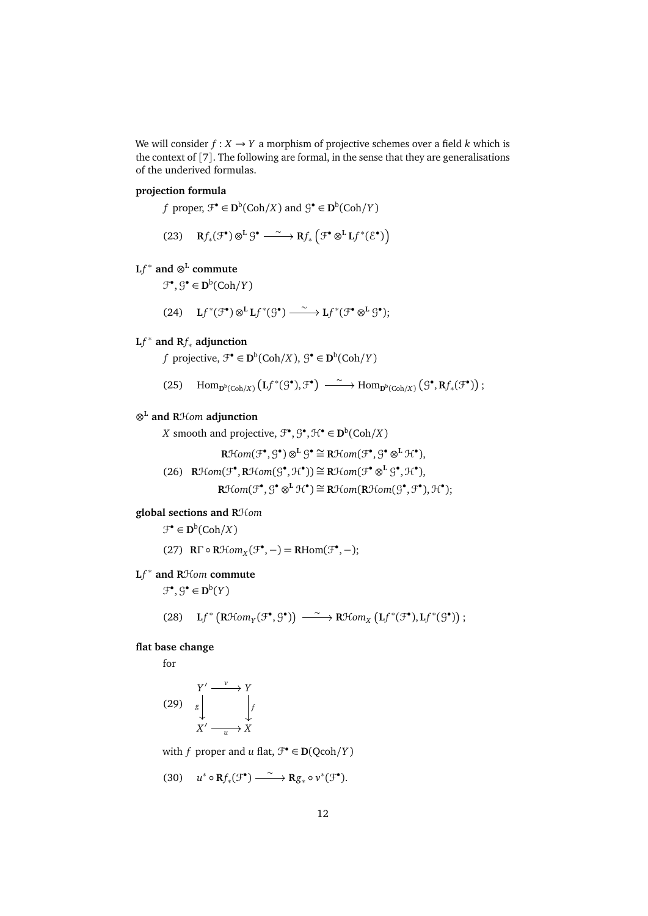We will consider  $f : X \to Y$  a morphism of projective schemes over a field *k* which is the context of [[7](#page-14-6)]. The following are formal, in the sense that they are generalisations of the underived formulas.

#### **projection formula**

*f* proper,  $\mathcal{F}^{\bullet} \in \mathbf{D}^{\mathbf{b}}(\mathbf{Coh}/X)$  and  $\mathcal{G}^{\bullet} \in \mathbf{D}^{\mathbf{b}}(\mathbf{Coh}/Y)$ 

(23) 
$$
\mathbf{R}f_*(\mathcal{F}^{\bullet}) \otimes^{\mathbf{L}} \mathcal{G}^{\bullet} \xrightarrow{\sim} \mathbf{R}f_* \left( \mathcal{F}^{\bullet} \otimes^{\mathbf{L}} \mathbf{L}f^*(\mathcal{E}^{\bullet}) \right)
$$

# $Lf^*$  and  $\otimes^L$  commute

 $\mathcal{F}^{\bullet}, \mathcal{G}^{\bullet} \in \mathbf{D}^{\mathrm{b}}(\mathrm{Coh}/Y)$ 

$$
(24)\quad \ \ Lf^*(\mathcal{F}^{\bullet})\otimes^{L} Lf^*(\mathcal{G}^{\bullet})\xrightarrow{\;\sim\;} Lf^*(\mathcal{F}^{\bullet}\otimes^{L}\mathcal{G}^{\bullet});
$$

# **L***f* <sup>∗</sup> **and R***f*<sup>∗</sup> **adjunction**

*f* projective,  $\mathcal{F}^{\bullet} \in \mathbf{D}^{\mathbf{b}}(\mathbf{Coh}/X), \, \mathcal{G}^{\bullet} \in \mathbf{D}^{\mathbf{b}}(\mathbf{Coh}/Y)$ 

(25)  $\text{Hom}_{\mathbf{D}^b(\text{Coh}/X)}(\mathbf{L}f^*(\mathcal{G}^{\bullet}), \mathcal{F}^{\bullet}) \xrightarrow{\sim} \text{Hom}_{\mathbf{D}^b(\text{Coh}/X)}(\mathcal{G}^{\bullet}, \mathbf{R}f_*(\mathcal{F}^{\bullet}))$ ;

### ⊗ **<sup>L</sup> and R**H*om* **adjunction**

*X* smooth and projective,  $\mathcal{F}^{\bullet}, \mathcal{G}^{\bullet}, \mathcal{H}^{\bullet} \in \mathbf{D}^{\mathbf{b}}(\mathbf{Coh}/X)$ 

$$
\mathbf{R}\mathcal{H}\text{om}(\mathcal{F}^\bullet,\mathcal{G}^\bullet)\otimes^{\mathbf{L}}\mathcal{G}^\bullet\cong\mathbf{R}\mathcal{H}\text{om}(\mathcal{F}^\bullet,\mathcal{G}^\bullet\otimes^{\mathbf{L}}\mathcal{H}^\bullet),
$$

(26) 
$$
\mathbb{R}\mathcal{H}om(\mathcal{F}^{\bullet}, \mathbb{R}\mathcal{H}om(\mathcal{G}^{\bullet}, \mathcal{H}^{\bullet})) \cong \mathbb{R}\mathcal{H}om(\mathcal{F}^{\bullet} \otimes^{\mathbb{L}} \mathcal{G}^{\bullet}, \mathcal{H}^{\bullet}),
$$
  
\n $\mathbb{R}\mathcal{H}om(\mathcal{F}^{\bullet}, \mathcal{G}^{\bullet} \otimes^{\mathbb{L}} \mathcal{H}^{\bullet}) \cong \mathbb{R}\mathcal{H}om(\mathbb{R}\mathcal{H}om(\mathcal{G}^{\bullet}, \mathcal{F}^{\bullet}), \mathcal{H}^{\bullet});$ 

#### **global sections and R**H*om*

 $\mathcal{F}^{\bullet} \in \mathbf{D}^{\mathrm{b}}(\mathsf{Coh}/X)$ 

(27) **R**Γ  $\circ$  **R**Hom<sub>*X*</sub>( $\mathcal{F}^{\bullet}$ , -) = **R**Hom( $\mathcal{F}^{\bullet}$ , -);

# **L***f*<sup>∗</sup> and RH*om* commute

 $\mathfrak{F}^{\bullet}, \mathfrak{G}^{\bullet} \in \mathbf{D}^{\mathrm{b}}(Y)$ 

(28) 
$$
\mathbf{L}f^*\left(\mathbf{R}\mathcal{H}om_\gamma(\mathcal{F}^\bullet,\mathcal{G}^\bullet)\right) \xrightarrow{\sim} \mathbf{R}\mathcal{H}om_\chi\left(\mathbf{L}f^*(\mathcal{F}^\bullet),\mathbf{L}f^*(\mathcal{G}^\bullet)\right);
$$

#### **flat base change**

for

$$
(29) \quad \begin{array}{c} Y' \xrightarrow{v} Y \\ \downarrow \\ \downarrow \\ X' \xrightarrow{u} X \end{array}
$$

with *f* proper and *u* flat,  $\mathcal{F}^{\bullet} \in \mathbf{D}(\text{Qcoh}/Y)$ 

$$
(30) \t u^* \circ \mathbf{R} f_* (\mathcal{F}^{\bullet}) \xrightarrow{\sim} \mathbf{R} g_* \circ \nu^* (\mathcal{F}^{\bullet}).
$$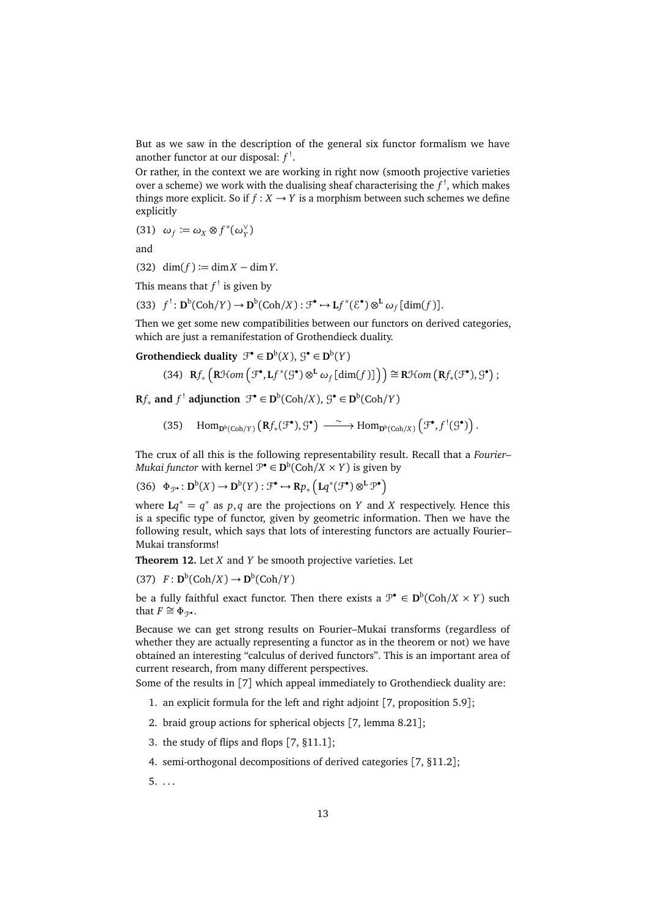But as we saw in the description of the general six functor formalism we have another functor at our disposal:  $f'$ .

Or rather, in the context we are working in right now (smooth projective varieties over a scheme) we work with the dualising sheaf characterising the  $f^!$ , which makes things more explicit. So if  $f: X \rightarrow Y$  is a morphism between such schemes we define explicitly

(31)  $\omega_f \coloneqq \omega_X \otimes f^*(\omega_Y^{\vee})$ *Y* )

and

 $(32)$  dim $(f) := \dim X - \dim Y$ .

This means that  $f^!$  is given by

(33)  $f^!: \mathbf{D}^{\mathbf{b}}(\mathbf{Coh}/Y) \to \mathbf{D}^{\mathbf{b}}(\mathbf{Coh}/X) : \mathcal{F}^{\bullet} \to \mathbf{L}f^*(\mathcal{E}^{\bullet}) \otimes^{\mathbf{L}} \omega_f [\dim(f)].$ 

Then we get some new compatibilities between our functors on derived categories, which are just a remanifestation of Grothendieck duality.

**Grothendieck duality**  $\mathcal{F}^{\bullet} \in \mathbf{D}^{\mathrm{b}}(X)$ ,  $\mathcal{G}^{\bullet} \in \mathbf{D}^{\mathrm{b}}(Y)$ 

$$
(34) \ \ \mathbf{R}f_*\left(\mathbf{R}\mathcal{H}om\left(\mathcal{F}^\bullet,\mathbf{L}f^*(\mathcal{G}^\bullet)\otimes^{\mathbf{L}}\omega_f\left[\text{dim}(f)\right]\right)\right)\cong\mathbf{R}\mathcal{H}om\left(\mathbf{R}f_*(\mathcal{F}^\bullet),\mathcal{G}^\bullet\right);
$$

 $\mathbf{R}f_*$  and  $f^!$  adjunction  $\mathcal{F}^{\bullet} \in \mathbf{D}^{\mathbf{b}}(\mathbf{Coh}/X), \mathcal{G}^{\bullet} \in \mathbf{D}^{\mathbf{b}}(\mathbf{Coh}/Y)$ 

(35)  $\text{Hom}_{\mathbf{D}^b(\text{Coh}/Y)} (\mathbf{R}f_*(\mathcal{F}^{\bullet}), \mathcal{G}^{\bullet}) \xrightarrow{\sim} \text{Hom}_{\mathbf{D}^b(\text{Coh}/X)} (\mathcal{F}^{\bullet}, f^!(\mathcal{G}^{\bullet}))$ .

The crux of all this is the following representability result. Recall that a *Fourier– Mukai functor* with kernel  $\mathcal{P}^{\bullet} \in \mathbf{D}^{\flat}(\mathbf{Coh}/X \times Y)$  is given by

$$
(36)\quad \Phi_{\mathcal{P}^\bullet}\colon \mathbf{D}^\mathrm{b}(X) \to \mathbf{D}^\mathrm{b}(Y) : \mathcal{F}^\bullet \to \mathbf{R}p_*\left(\mathbf{L}q^*(\mathcal{F}^\bullet) \otimes^{\mathbf{L}} \mathcal{P}^\bullet\right)
$$

where  $Lq^* = q^*$  as  $p, q$  are the projections on  $Y$  and  $X$  respectively. Hence this is a specific type of functor, given by geometric information. Then we have the following result, which says that lots of interesting functors are actually Fourier– Mukai transforms!

**Theorem 12.** Let *X* and *Y* be smooth projective varieties. Let

 $(F : \mathbf{D}^{\mathrm{b}}(\mathrm{Coh}/X) \to \mathbf{D}^{\mathrm{b}}(\mathrm{Coh}/Y))$ 

be a fully faithful exact functor. Then there exists a  $\mathcal{P}^{\bullet} \in \mathbf{D}^{\mathsf{b}}(\mathsf{Coh}/X \times Y)$  such that  $F \cong \Phi_{\mathcal{P}^{\bullet}}$ .

Because we can get strong results on Fourier–Mukai transforms (regardless of whether they are actually representing a functor as in the theorem or not) we have obtained an interesting "calculus of derived functors". This is an important area of current research, from many different perspectives.

Some of the results in [[7](#page-14-6)] which appeal immediately to Grothendieck duality are:

- 1. an explicit formula for the left and right adjoint [[7,](#page-14-6) proposition 5.9];
- 2. braid group actions for spherical objects [[7,](#page-14-6) lemma 8.21];
- 3. the study of flips and flops [[7,](#page-14-6) §11.1];
- 4. semi-orthogonal decompositions of derived categories [[7,](#page-14-6) §11.2];
- $5. \ldots$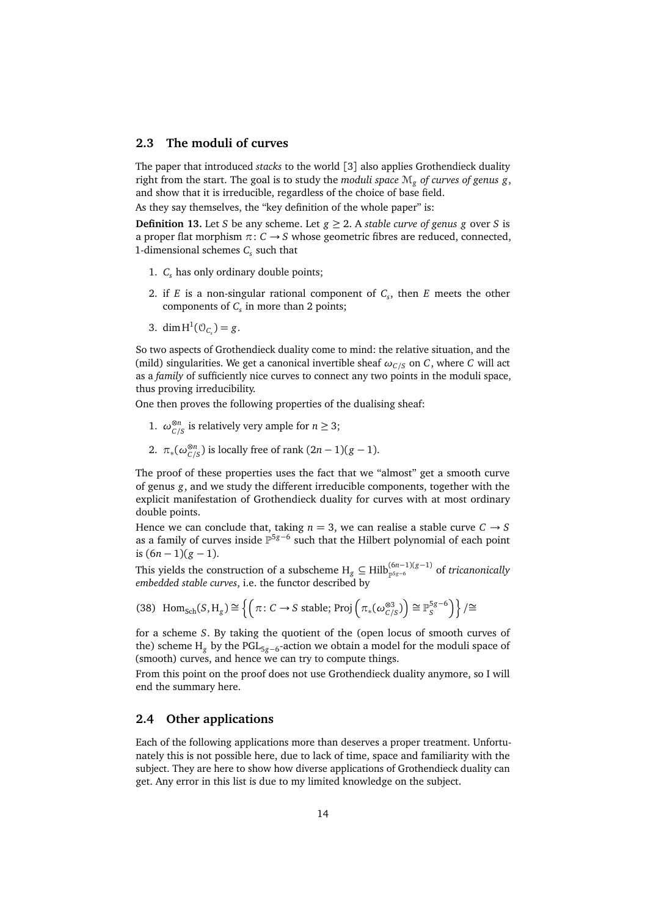#### <span id="page-13-0"></span>**2.3 The moduli of curves**

The paper that introduced *stacks* to the world [[3](#page-14-7)] also applies Grothendieck duality right from the start. The goal is to study the *moduli space* M*<sup>g</sup> of curves of genus g*, and show that it is irreducible, regardless of the choice of base field.

As they say themselves, the "key definition of the whole paper" is:

**Definition 13.** Let *S* be any scheme. Let  $g \ge 2$ . A *stable curve of genus g* over *S* is a proper flat morphism  $\pi: C \rightarrow S$  whose geometric fibres are reduced, connected, 1-dimensional schemes *C<sup>s</sup>* such that

- 1. *C<sup>s</sup>* has only ordinary double points;
- 2. if *E* is a non-singular rational component of *C<sup>s</sup>* , then *E* meets the other components of  $C_s$  in more than 2 points;
- 3. dim  $H^1(\mathcal{O}_{C_s}) = g$ .

So two aspects of Grothendieck duality come to mind: the relative situation, and the (mild) singularities. We get a canonical invertible sheaf  $\omega_{C/S}$  on *C*, where *C* will act as a *family* of sufficiently nice curves to connect any two points in the moduli space, thus proving irreducibility.

One then proves the following properties of the dualising sheaf:

- 1.  $\omega_{C/S}^{\otimes n}$  is relatively very ample for  $n \geq 3$ ;
- 2.  $\pi_*(\omega_{C/S}^{\otimes n})$  is locally free of rank  $(2n-1)(g-1)$ .

The proof of these properties uses the fact that we "almost" get a smooth curve of genus *g*, and we study the different irreducible components, together with the explicit manifestation of Grothendieck duality for curves with at most ordinary double points.

Hence we can conclude that, taking  $n = 3$ , we can realise a stable curve  $C \rightarrow S$ as a family of curves inside <sup>p<sub>5g-6</sub></sup> such that the Hilbert polynomial of each point is  $(6n − 1)(g − 1)$ .

This yields the construction of a subscheme  $H_g \subseteq Hilb_{\mathbb{P}^{5g-6}}^{(6n-1)(g-1)}$  of *tricanonically embedded stable curves*, i.e. the functor described by

(38) Hom<sub>Sch</sub>
$$
(S, H_g) \cong \left\{ \left( \pi : C \to S \text{ stable}; \text{Proj} \left( \pi_*(\omega_{C/S}^{\otimes 3}) \right) \cong \mathbb{P}_S^{5g-6} \right) \right\} / \cong
$$

for a scheme *S*. By taking the quotient of the (open locus of smooth curves of the) scheme H<sub>g</sub> by the PGL<sub>5g−6</sub>-action we obtain a model for the moduli space of (smooth) curves, and hence we can try to compute things.

From this point on the proof does not use Grothendieck duality anymore, so I will end the summary here.

### <span id="page-13-1"></span>**2.4 Other applications**

Each of the following applications more than deserves a proper treatment. Unfortunately this is not possible here, due to lack of time, space and familiarity with the subject. They are here to show how diverse applications of Grothendieck duality can get. Any error in this list is due to my limited knowledge on the subject.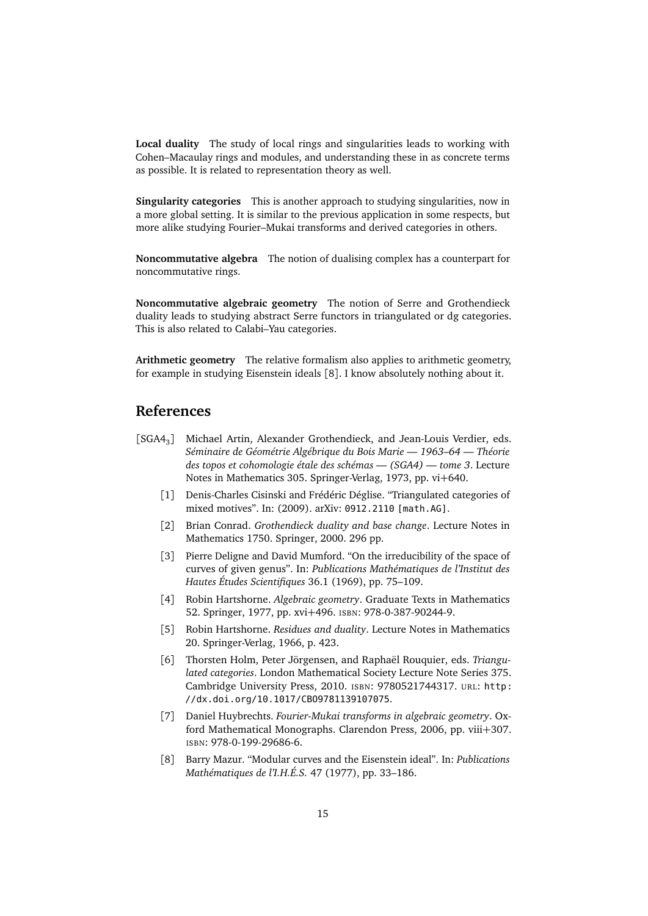**Local duality** The study of local rings and singularities leads to working with Cohen–Macaulay rings and modules, and understanding these in as concrete terms as possible. It is related to representation theory as well.

**Singularity categories** This is another approach to studying singularities, now in a more global setting. It is similar to the previous application in some respects, but more alike studying Fourier–Mukai transforms and derived categories in others.

**Noncommutative algebra** The notion of dualising complex has a counterpart for noncommutative rings.

**Noncommutative algebraic geometry** The notion of Serre and Grothendieck duality leads to studying abstract Serre functors in triangulated or dg categories. This is also related to Calabi–Yau categories.

**Arithmetic geometry** The relative formalism also applies to arithmetic geometry, for example in studying Eisenstein ideals [[8](#page-14-8)]. I know absolutely nothing about it.

# **References**

- <span id="page-14-8"></span><span id="page-14-7"></span><span id="page-14-6"></span><span id="page-14-5"></span><span id="page-14-4"></span><span id="page-14-3"></span><span id="page-14-2"></span><span id="page-14-1"></span><span id="page-14-0"></span>[SGA4<sub>3</sub>] Michael Artin, Alexander Grothendieck, and Jean-Louis Verdier, eds. *Séminaire de Géométrie Algébrique du Bois Marie — 1963–64 — Théorie des topos et cohomologie étale des schémas — (SGA4) — tome 3*. Lecture Notes in Mathematics 305. Springer-Verlag, 1973, pp. vi+640.
	- [1] Denis-Charles Cisinski and Frédéric Déglise. "Triangulated categories of mixed motives". In: (2009). arXiv: [0912.2110 \[math.AG\]](http://arxiv.org/abs/0912.2110).
	- [2] Brian Conrad. *Grothendieck duality and base change*. Lecture Notes in Mathematics 1750. Springer, 2000. 296 pp.
	- [3] Pierre Deligne and David Mumford. "On the irreducibility of the space of curves of given genus". In: *Publications Mathématiques de l'Institut des Hautes Études Scientifiques* 36.1 (1969), pp. 75–109.
	- [4] Robin Hartshorne. *Algebraic geometry*. Graduate Texts in Mathematics 52. Springer, 1977, pp. xvi+496. ISBN: 978-0-387-90244-9.
	- [5] Robin Hartshorne. *Residues and duality*. Lecture Notes in Mathematics 20. Springer-Verlag, 1966, p. 423.
	- [6] Thorsten Holm, Peter Jörgensen, and Raphaël Rouquier, eds. *Triangulated categories*. London Mathematical Society Lecture Note Series 375. Cambridge University Press, 2010. ISBN: 9780521744317. URL: [http:](http://dx.doi.org/10.1017/CBO9781139107075) [//dx.doi.org/10.1017/CBO9781139107075](http://dx.doi.org/10.1017/CBO9781139107075).
	- [7] Daniel Huybrechts. *Fourier-Mukai transforms in algebraic geometry*. Oxford Mathematical Monographs. Clarendon Press, 2006, pp. viii+307. ISBN: 978-0-199-29686-6.
	- [8] Barry Mazur. "Modular curves and the Eisenstein ideal". In: *Publications Mathématiques de l'I.H.É.S.* 47 (1977), pp. 33–186.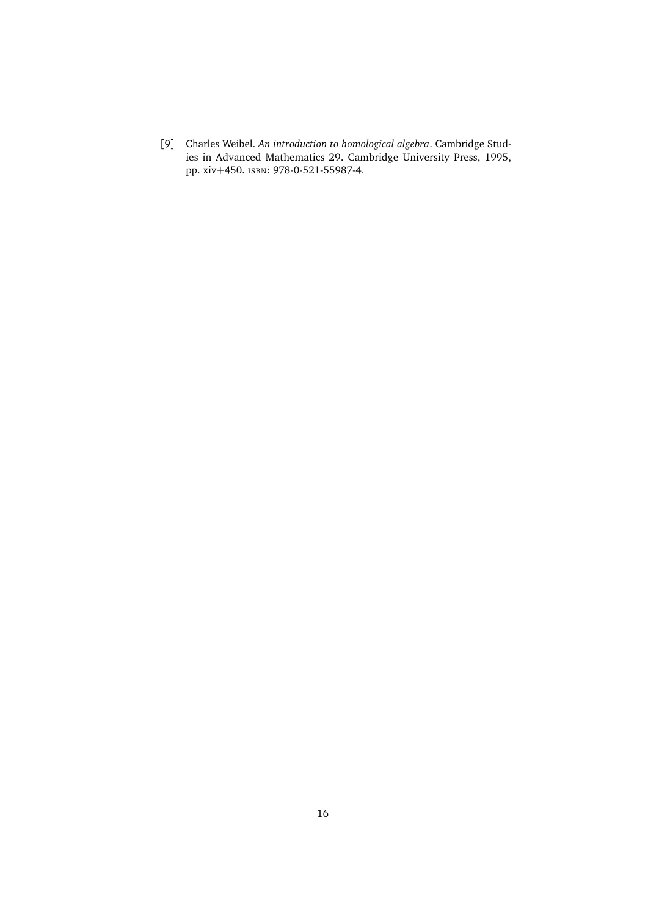<span id="page-15-0"></span>[9] Charles Weibel. *An introduction to homological algebra*. Cambridge Studies in Advanced Mathematics 29. Cambridge University Press, 1995, pp. xiv+450. ISBN: 978-0-521-55987-4.